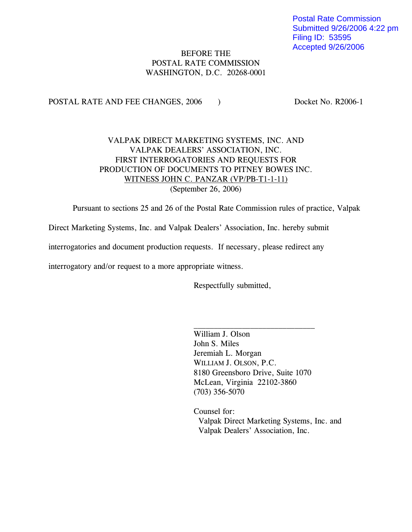Postal Rate Commission Submitted 9/26/2006 4:22 pm Filing ID: 53595 Accepted 9/26/2006

# BEFORE THE POSTAL RATE COMMISSION WASHINGTON, D.C. 20268-0001

POSTAL RATE AND FEE CHANGES, 2006 ) Docket No. R2006-1

# VALPAK DIRECT MARKETING SYSTEMS, INC. AND VALPAK DEALERS' ASSOCIATION, INC. FIRST INTERROGATORIES AND REQUESTS FOR PRODUCTION OF DOCUMENTS TO PITNEY BOWES INC. WITNESS JOHN C. PANZAR (VP/PB-T1-1-11) (September 26, 2006)

Pursuant to sections 25 and 26 of the Postal Rate Commission rules of practice, Valpak

Direct Marketing Systems, Inc. and Valpak Dealers' Association, Inc. hereby submit

interrogatories and document production requests. If necessary, please redirect any

interrogatory and/or request to a more appropriate witness.

Respectfully submitted,

William J. Olson John S. Miles Jeremiah L. Morgan WILLIAM J. OLSON, P.C. 8180 Greensboro Drive, Suite 1070 McLean, Virginia 22102-3860 (703) 356-5070

Counsel for: Valpak Direct Marketing Systems, Inc. and Valpak Dealers' Association, Inc.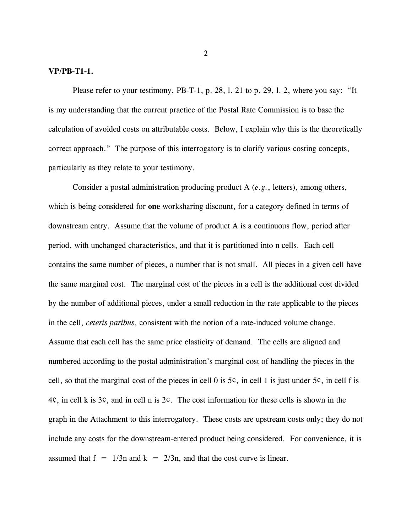#### **VP/PB-T1-1.**

Please refer to your testimony, PB-T-1, p. 28, 1, 21 to p. 29, 1, 2, where you say: "It is my understanding that the current practice of the Postal Rate Commission is to base the calculation of avoided costs on attributable costs. Below, I explain why this is the theoretically correct approach." The purpose of this interrogatory is to clarify various costing concepts, particularly as they relate to your testimony.

Consider a postal administration producing product A (*e.g.*, letters), among others, which is being considered for **one** worksharing discount, for a category defined in terms of downstream entry. Assume that the volume of product A is a continuous flow, period after period, with unchanged characteristics, and that it is partitioned into n cells. Each cell contains the same number of pieces, a number that is not small. All pieces in a given cell have the same marginal cost. The marginal cost of the pieces in a cell is the additional cost divided by the number of additional pieces, under a small reduction in the rate applicable to the pieces in the cell, *ceteris paribus*, consistent with the notion of a rate-induced volume change. Assume that each cell has the same price elasticity of demand. The cells are aligned and numbered according to the postal administration's marginal cost of handling the pieces in the cell, so that the marginal cost of the pieces in cell 0 is 5¢, in cell 1 is just under 5¢, in cell f is 4¢, in cell k is 3¢, and in cell n is 2¢. The cost information for these cells is shown in the graph in the Attachment to this interrogatory. These costs are upstream costs only; they do not include any costs for the downstream-entered product being considered. For convenience, it is assumed that  $f = 1/3n$  and  $k = 2/3n$ , and that the cost curve is linear.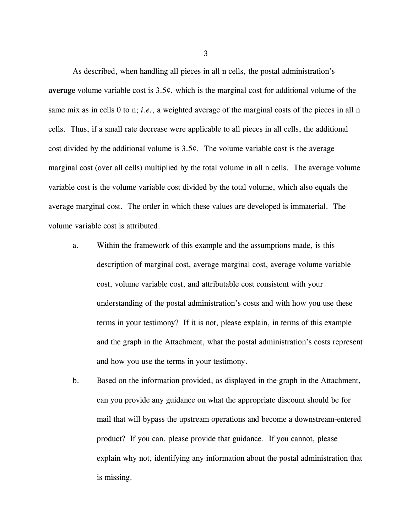As described, when handling all pieces in all n cells, the postal administration's **average** volume variable cost is 3.5¢, which is the marginal cost for additional volume of the same mix as in cells 0 to n; *i.e.*, a weighted average of the marginal costs of the pieces in all n cells. Thus, if a small rate decrease were applicable to all pieces in all cells, the additional cost divided by the additional volume is 3.5¢. The volume variable cost is the average marginal cost (over all cells) multiplied by the total volume in all n cells. The average volume variable cost is the volume variable cost divided by the total volume, which also equals the average marginal cost. The order in which these values are developed is immaterial. The volume variable cost is attributed.

- a. Within the framework of this example and the assumptions made, is this description of marginal cost, average marginal cost, average volume variable cost, volume variable cost, and attributable cost consistent with your understanding of the postal administration's costs and with how you use these terms in your testimony? If it is not, please explain, in terms of this example and the graph in the Attachment, what the postal administration's costs represent and how you use the terms in your testimony.
- b. Based on the information provided, as displayed in the graph in the Attachment, can you provide any guidance on what the appropriate discount should be for mail that will bypass the upstream operations and become a downstream-entered product? If you can, please provide that guidance. If you cannot, please explain why not, identifying any information about the postal administration that is missing.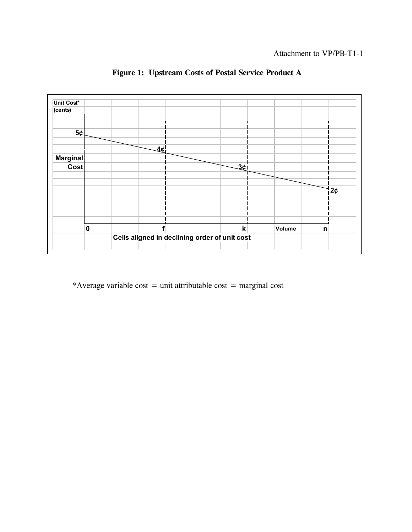Attachment to VP/PB-T1-1



 **Figure 1: Upstream Costs of Postal Service Product A**

\*Average variable cost = unit attributable cost = marginal cost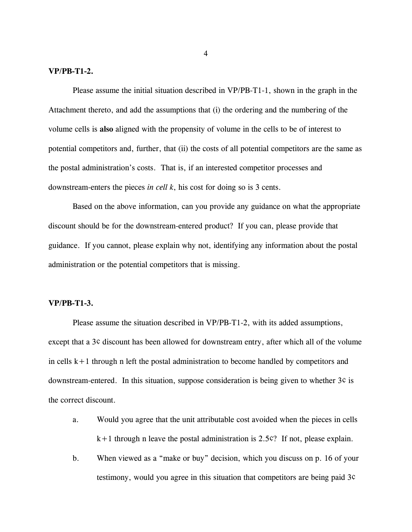#### **VP/PB-T1-2.**

Please assume the initial situation described in VP/PB-T1-1, shown in the graph in the Attachment thereto, and add the assumptions that (i) the ordering and the numbering of the volume cells is **also** aligned with the propensity of volume in the cells to be of interest to potential competitors and, further, that (ii) the costs of all potential competitors are the same as the postal administration's costs. That is, if an interested competitor processes and downstream-enters the pieces *in cell k*, his cost for doing so is 3 cents.

Based on the above information, can you provide any guidance on what the appropriate discount should be for the downstream-entered product? If you can, please provide that guidance. If you cannot, please explain why not, identifying any information about the postal administration or the potential competitors that is missing.

### **VP/PB-T1-3.**

Please assume the situation described in VP/PB-T1-2, with its added assumptions, except that a 3¢ discount has been allowed for downstream entry, after which all of the volume in cells  $k+1$  through n left the postal administration to become handled by competitors and downstream-entered. In this situation, suppose consideration is being given to whether 3¢ is the correct discount.

- a. Would you agree that the unit attributable cost avoided when the pieces in cells k+1 through n leave the postal administration is 2.5¢? If not, please explain.
- b. When viewed as a "make or buy" decision, which you discuss on p. 16 of your testimony, would you agree in this situation that competitors are being paid 3¢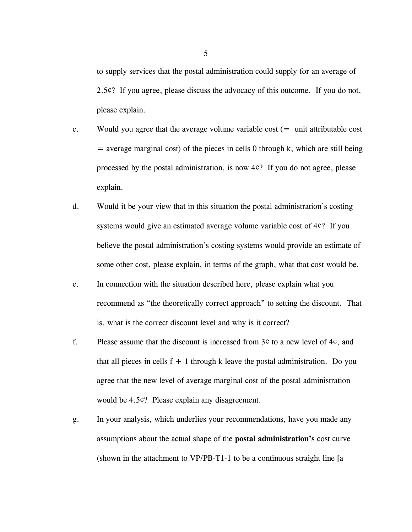to supply services that the postal administration could supply for an average of 2.5¢? If you agree, please discuss the advocacy of this outcome. If you do not, please explain.

- c. Would you agree that the average volume variable cost  $($  = unit attributable cost  $=$  average marginal cost) of the pieces in cells 0 through k, which are still being processed by the postal administration, is now 4¢? If you do not agree, please explain.
- d. Would it be your view that in this situation the postal administration's costing systems would give an estimated average volume variable cost of 4¢? If you believe the postal administration's costing systems would provide an estimate of some other cost, please explain, in terms of the graph, what that cost would be.
- e. In connection with the situation described here, please explain what you recommend as "the theoretically correct approach" to setting the discount. That is, what is the correct discount level and why is it correct?
- f. Please assume that the discount is increased from 3¢ to a new level of 4¢, and that all pieces in cells  $f + 1$  through k leave the postal administration. Do you agree that the new level of average marginal cost of the postal administration would be 4.5¢? Please explain any disagreement.
- g. In your analysis, which underlies your recommendations, have you made any assumptions about the actual shape of the **postal administration's** cost curve (shown in the attachment to VP/PB-T1-1 to be a continuous straight line [a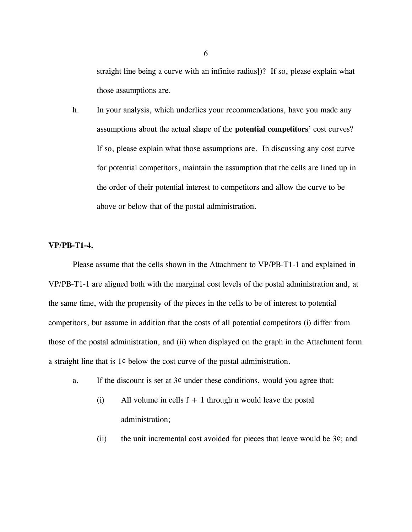straight line being a curve with an infinite radius])? If so, please explain what those assumptions are.

h. In your analysis, which underlies your recommendations, have you made any assumptions about the actual shape of the **potential competitors'** cost curves? If so, please explain what those assumptions are. In discussing any cost curve for potential competitors, maintain the assumption that the cells are lined up in the order of their potential interest to competitors and allow the curve to be above or below that of the postal administration.

### **VP/PB-T1-4.**

Please assume that the cells shown in the Attachment to VP/PB-T1-1 and explained in VP/PB-T1-1 are aligned both with the marginal cost levels of the postal administration and, at the same time, with the propensity of the pieces in the cells to be of interest to potential competitors, but assume in addition that the costs of all potential competitors (i) differ from those of the postal administration, and (ii) when displayed on the graph in the Attachment form a straight line that is 1¢ below the cost curve of the postal administration.

- a. If the discount is set at 3¢ under these conditions, would you agree that:
	- (i) All volume in cells  $f + 1$  through n would leave the postal administration;
	- (ii) the unit incremental cost avoided for pieces that leave would be  $3¢$ ; and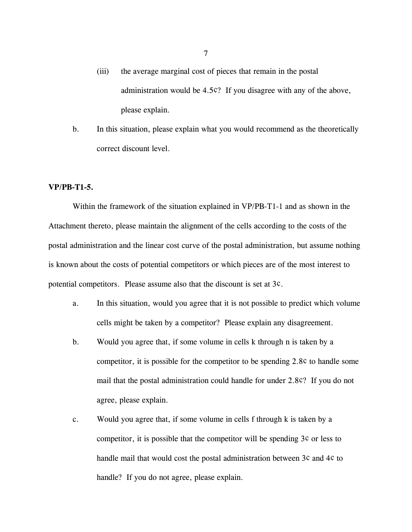- (iii) the average marginal cost of pieces that remain in the postal administration would be 4.5¢? If you disagree with any of the above, please explain.
- b. In this situation, please explain what you would recommend as the theoretically correct discount level.

#### **VP/PB-T1-5.**

Within the framework of the situation explained in VP/PB-T1-1 and as shown in the Attachment thereto, please maintain the alignment of the cells according to the costs of the postal administration and the linear cost curve of the postal administration, but assume nothing is known about the costs of potential competitors or which pieces are of the most interest to potential competitors. Please assume also that the discount is set at 3¢.

- a. In this situation, would you agree that it is not possible to predict which volume cells might be taken by a competitor? Please explain any disagreement.
- b. Would you agree that, if some volume in cells k through n is taken by a competitor, it is possible for the competitor to be spending 2.8¢ to handle some mail that the postal administration could handle for under 2.8¢? If you do not agree, please explain.
- c. Would you agree that, if some volume in cells f through k is taken by a competitor, it is possible that the competitor will be spending 3¢ or less to handle mail that would cost the postal administration between 3¢ and 4¢ to handle? If you do not agree, please explain.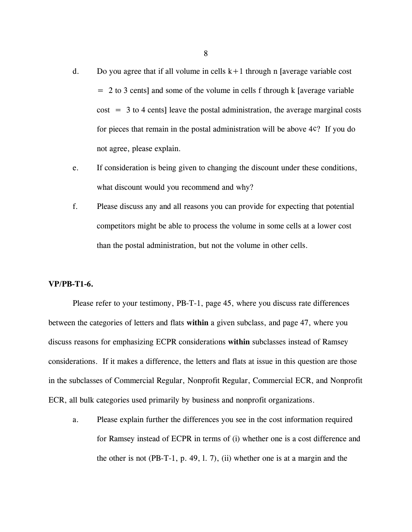- d. Do you agree that if all volume in cells  $k+1$  through n [average variable cost  $= 2$  to 3 cents] and some of the volume in cells f through k [average variable  $cost = 3$  to 4 cents] leave the postal administration, the average marginal costs for pieces that remain in the postal administration will be above 4¢? If you do not agree, please explain.
- e. If consideration is being given to changing the discount under these conditions, what discount would you recommend and why?
- f. Please discuss any and all reasons you can provide for expecting that potential competitors might be able to process the volume in some cells at a lower cost than the postal administration, but not the volume in other cells.

#### **VP/PB-T1-6.**

Please refer to your testimony, PB-T-1, page 45, where you discuss rate differences between the categories of letters and flats **within** a given subclass, and page 47, where you discuss reasons for emphasizing ECPR considerations **within** subclasses instead of Ramsey considerations. If it makes a difference, the letters and flats at issue in this question are those in the subclasses of Commercial Regular, Nonprofit Regular, Commercial ECR, and Nonprofit ECR, all bulk categories used primarily by business and nonprofit organizations.

a. Please explain further the differences you see in the cost information required for Ramsey instead of ECPR in terms of (i) whether one is a cost difference and the other is not (PB-T-1, p. 49, l. 7), (ii) whether one is at a margin and the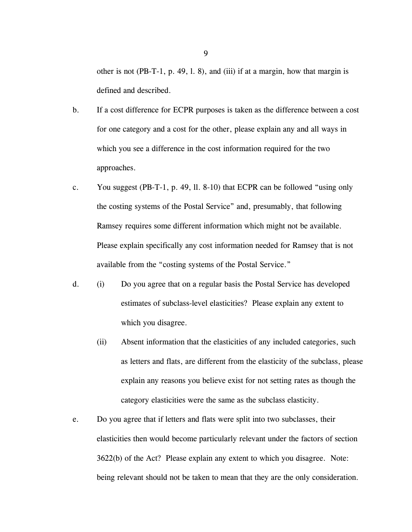other is not (PB-T-1, p. 49, l. 8), and (iii) if at a margin, how that margin is defined and described.

- b. If a cost difference for ECPR purposes is taken as the difference between a cost for one category and a cost for the other, please explain any and all ways in which you see a difference in the cost information required for the two approaches.
- c. You suggest (PB-T-1, p. 49, ll. 8-10) that ECPR can be followed "using only the costing systems of the Postal Service" and, presumably, that following Ramsey requires some different information which might not be available. Please explain specifically any cost information needed for Ramsey that is not available from the "costing systems of the Postal Service."
- d. (i) Do you agree that on a regular basis the Postal Service has developed estimates of subclass-level elasticities? Please explain any extent to which you disagree.
	- (ii) Absent information that the elasticities of any included categories, such as letters and flats, are different from the elasticity of the subclass, please explain any reasons you believe exist for not setting rates as though the category elasticities were the same as the subclass elasticity.
- e. Do you agree that if letters and flats were split into two subclasses, their elasticities then would become particularly relevant under the factors of section 3622(b) of the Act? Please explain any extent to which you disagree. Note: being relevant should not be taken to mean that they are the only consideration.

 $\overline{Q}$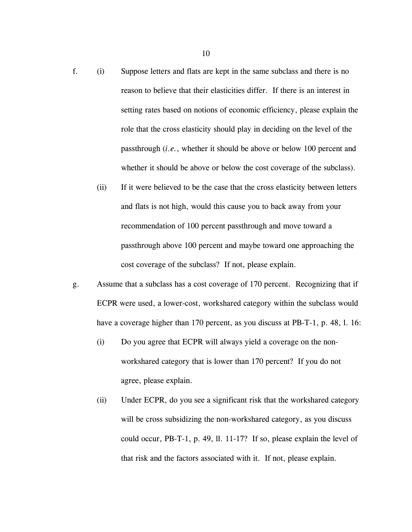- f. (i) Suppose letters and flats are kept in the same subclass and there is no reason to believe that their elasticities differ. If there is an interest in setting rates based on notions of economic efficiency, please explain the role that the cross elasticity should play in deciding on the level of the passthrough (*i.e.*, whether it should be above or below 100 percent and whether it should be above or below the cost coverage of the subclass).
	- (ii) If it were believed to be the case that the cross elasticity between letters and flats is not high, would this cause you to back away from your recommendation of 100 percent passthrough and move toward a passthrough above 100 percent and maybe toward one approaching the cost coverage of the subclass? If not, please explain.
- g. Assume that a subclass has a cost coverage of 170 percent. Recognizing that if ECPR were used, a lower-cost, workshared category within the subclass would have a coverage higher than 170 percent, as you discuss at PB-T-1, p. 48, l. 16:
	- (i) Do you agree that ECPR will always yield a coverage on the nonworkshared category that is lower than 170 percent? If you do not agree, please explain.
	- (ii) Under ECPR, do you see a significant risk that the workshared category will be cross subsidizing the non-workshared category, as you discuss could occur, PB-T-1, p. 49, ll. 11-17? If so, please explain the level of that risk and the factors associated with it. If not, please explain.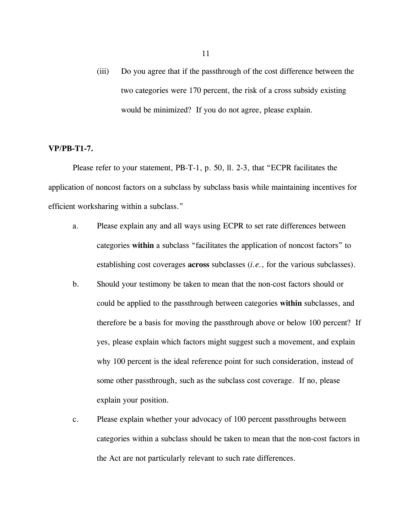(iii) Do you agree that if the passthrough of the cost difference between the two categories were 170 percent, the risk of a cross subsidy existing would be minimized? If you do not agree, please explain.

## **VP/PB-T1-7.**

Please refer to your statement, PB-T-1, p. 50, ll. 2-3, that "ECPR facilitates the application of noncost factors on a subclass by subclass basis while maintaining incentives for efficient worksharing within a subclass."

- a. Please explain any and all ways using ECPR to set rate differences between categories **within** a subclass "facilitates the application of noncost factors" to establishing cost coverages **across** subclasses (*i.e.*, for the various subclasses).
- b. Should your testimony be taken to mean that the non-cost factors should or could be applied to the passthrough between categories **within** subclasses, and therefore be a basis for moving the passthrough above or below 100 percent? If yes, please explain which factors might suggest such a movement, and explain why 100 percent is the ideal reference point for such consideration, instead of some other passthrough, such as the subclass cost coverage. If no, please explain your position.
- c. Please explain whether your advocacy of 100 percent passthroughs between categories within a subclass should be taken to mean that the non-cost factors in the Act are not particularly relevant to such rate differences.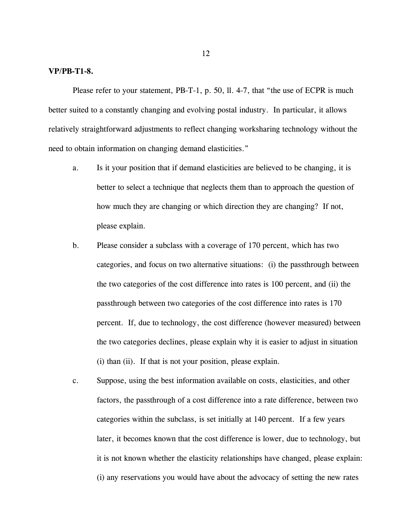#### **VP/PB-T1-8.**

Please refer to your statement, PB-T-1, p. 50, ll. 4-7, that "the use of ECPR is much better suited to a constantly changing and evolving postal industry. In particular, it allows relatively straightforward adjustments to reflect changing worksharing technology without the need to obtain information on changing demand elasticities."

- a. Is it your position that if demand elasticities are believed to be changing, it is better to select a technique that neglects them than to approach the question of how much they are changing or which direction they are changing? If not, please explain.
- b. Please consider a subclass with a coverage of 170 percent, which has two categories, and focus on two alternative situations: (i) the passthrough between the two categories of the cost difference into rates is 100 percent, and (ii) the passthrough between two categories of the cost difference into rates is 170 percent. If, due to technology, the cost difference (however measured) between the two categories declines, please explain why it is easier to adjust in situation (i) than (ii). If that is not your position, please explain.
- c. Suppose, using the best information available on costs, elasticities, and other factors, the passthrough of a cost difference into a rate difference, between two categories within the subclass, is set initially at 140 percent. If a few years later, it becomes known that the cost difference is lower, due to technology, but it is not known whether the elasticity relationships have changed, please explain: (i) any reservations you would have about the advocacy of setting the new rates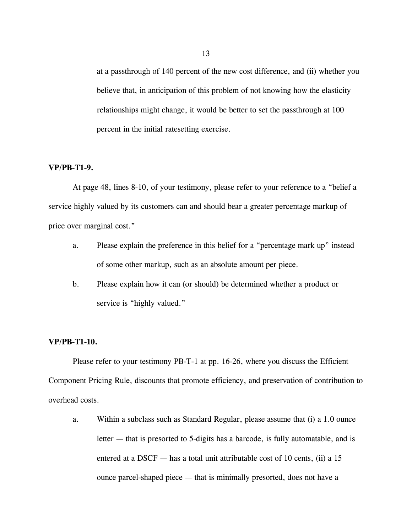at a passthrough of 140 percent of the new cost difference, and (ii) whether you believe that, in anticipation of this problem of not knowing how the elasticity relationships might change, it would be better to set the passthrough at 100 percent in the initial ratesetting exercise.

## **VP/PB-T1-9.**

At page 48, lines 8-10, of your testimony, please refer to your reference to a "belief a service highly valued by its customers can and should bear a greater percentage markup of price over marginal cost."

- a. Please explain the preference in this belief for a "percentage mark up" instead of some other markup, such as an absolute amount per piece.
- b. Please explain how it can (or should) be determined whether a product or service is "highly valued."

## **VP/PB-T1-10.**

Please refer to your testimony PB-T-1 at pp. 16-26, where you discuss the Efficient Component Pricing Rule, discounts that promote efficiency, and preservation of contribution to overhead costs.

a. Within a subclass such as Standard Regular, please assume that (i) a 1.0 ounce letter — that is presorted to 5-digits has a barcode, is fully automatable, and is entered at a DSCF  $-$  has a total unit attributable cost of 10 cents, (ii) a 15 ounce parcel-shaped piece — that is minimally presorted, does not have a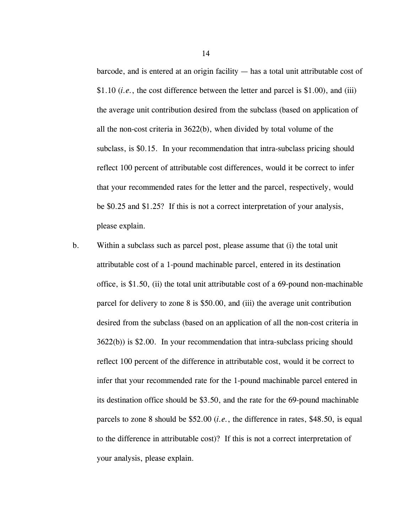barcode, and is entered at an origin facility — has a total unit attributable cost of \$1.10 (*i.e.*, the cost difference between the letter and parcel is \$1.00), and (iii) the average unit contribution desired from the subclass (based on application of all the non-cost criteria in 3622(b), when divided by total volume of the subclass, is \$0.15. In your recommendation that intra-subclass pricing should reflect 100 percent of attributable cost differences, would it be correct to infer that your recommended rates for the letter and the parcel, respectively, would be \$0.25 and \$1.25? If this is not a correct interpretation of your analysis, please explain.

b. Within a subclass such as parcel post, please assume that (i) the total unit attributable cost of a 1-pound machinable parcel, entered in its destination office, is \$1.50, (ii) the total unit attributable cost of a 69-pound non-machinable parcel for delivery to zone 8 is \$50.00, and (iii) the average unit contribution desired from the subclass (based on an application of all the non-cost criteria in 3622(b)) is \$2.00. In your recommendation that intra-subclass pricing should reflect 100 percent of the difference in attributable cost, would it be correct to infer that your recommended rate for the 1-pound machinable parcel entered in its destination office should be \$3.50, and the rate for the 69-pound machinable parcels to zone 8 should be \$52.00 (*i.e.*, the difference in rates, \$48.50, is equal to the difference in attributable cost)? If this is not a correct interpretation of your analysis, please explain.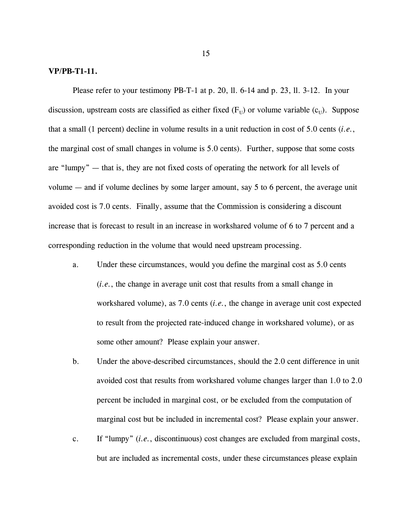#### **VP/PB-T1-11.**

Please refer to your testimony PB-T-1 at p. 20, ll. 6-14 and p. 23, ll. 3-12. In your discussion, upstream costs are classified as either fixed  $(F_U)$  or volume variable  $(c_U)$ . Suppose that a small (1 percent) decline in volume results in a unit reduction in cost of 5.0 cents (*i.e.*, the marginal cost of small changes in volume is 5.0 cents). Further, suppose that some costs are "lumpy" — that is, they are not fixed costs of operating the network for all levels of volume — and if volume declines by some larger amount, say 5 to 6 percent, the average unit avoided cost is 7.0 cents. Finally, assume that the Commission is considering a discount increase that is forecast to result in an increase in workshared volume of 6 to 7 percent and a corresponding reduction in the volume that would need upstream processing.

- a. Under these circumstances, would you define the marginal cost as 5.0 cents (*i.e.*, the change in average unit cost that results from a small change in workshared volume), as 7.0 cents (*i.e.*, the change in average unit cost expected to result from the projected rate-induced change in workshared volume), or as some other amount? Please explain your answer.
- b. Under the above-described circumstances, should the 2.0 cent difference in unit avoided cost that results from workshared volume changes larger than 1.0 to 2.0 percent be included in marginal cost, or be excluded from the computation of marginal cost but be included in incremental cost? Please explain your answer.
- c. If "lumpy" (*i.e.*, discontinuous) cost changes are excluded from marginal costs, but are included as incremental costs, under these circumstances please explain